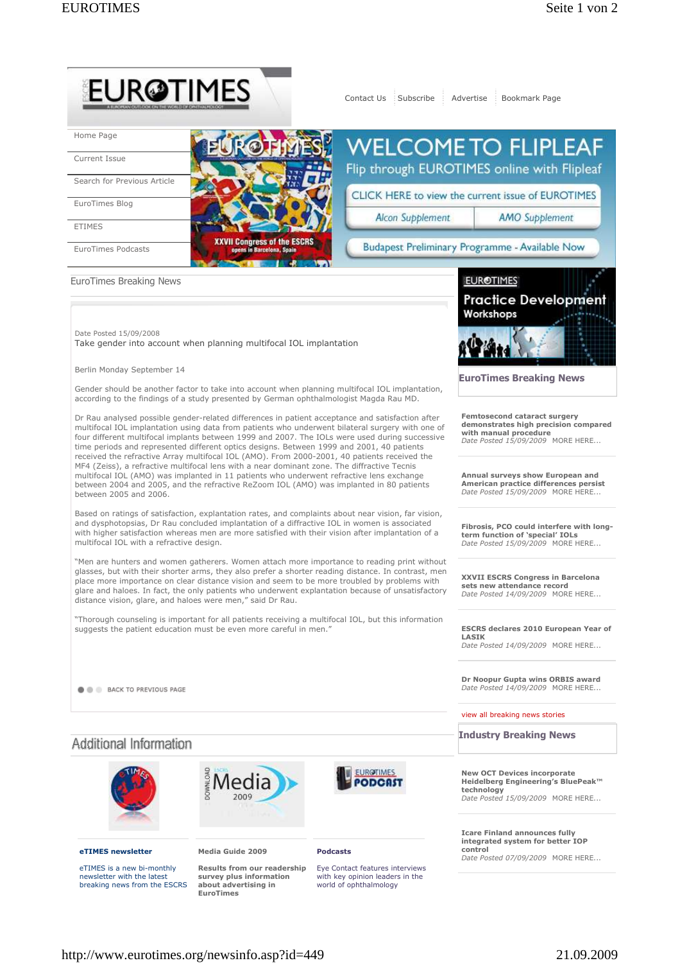